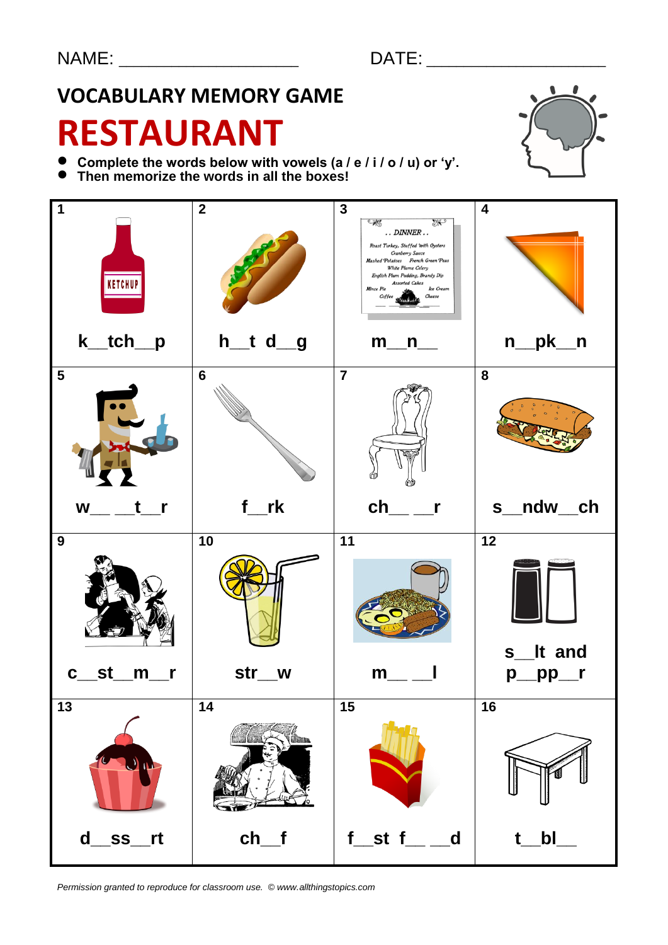## **VOCABULARY MEMORY GAME**

# **RESTAURANT**

- **Complete the words below with vowels (a / e / i / o / u) or 'y'.**
- Complete the words below with vowels (a)<br>● Then memorize the words in all the boxes!





*Permission granted to reproduce for classroom use. © www.allthingstopics.com*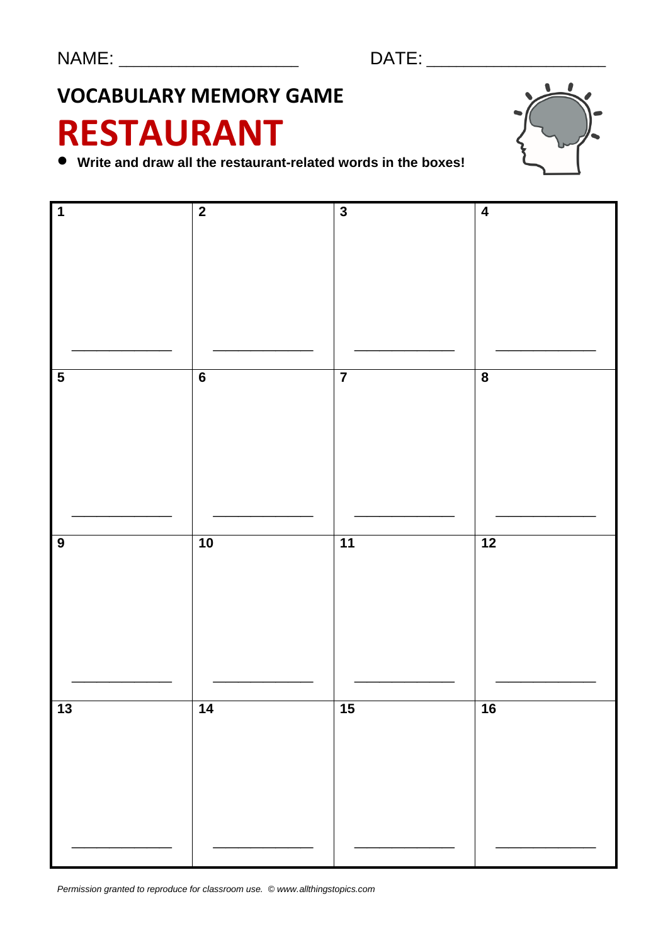## **VOCABULARY MEMORY GAME**

# **RESTAURANT**



**Write and draw all the restaurant-related words in the boxes!**



*Permission granted to reproduce for classroom use. © www.allthingstopics.com*